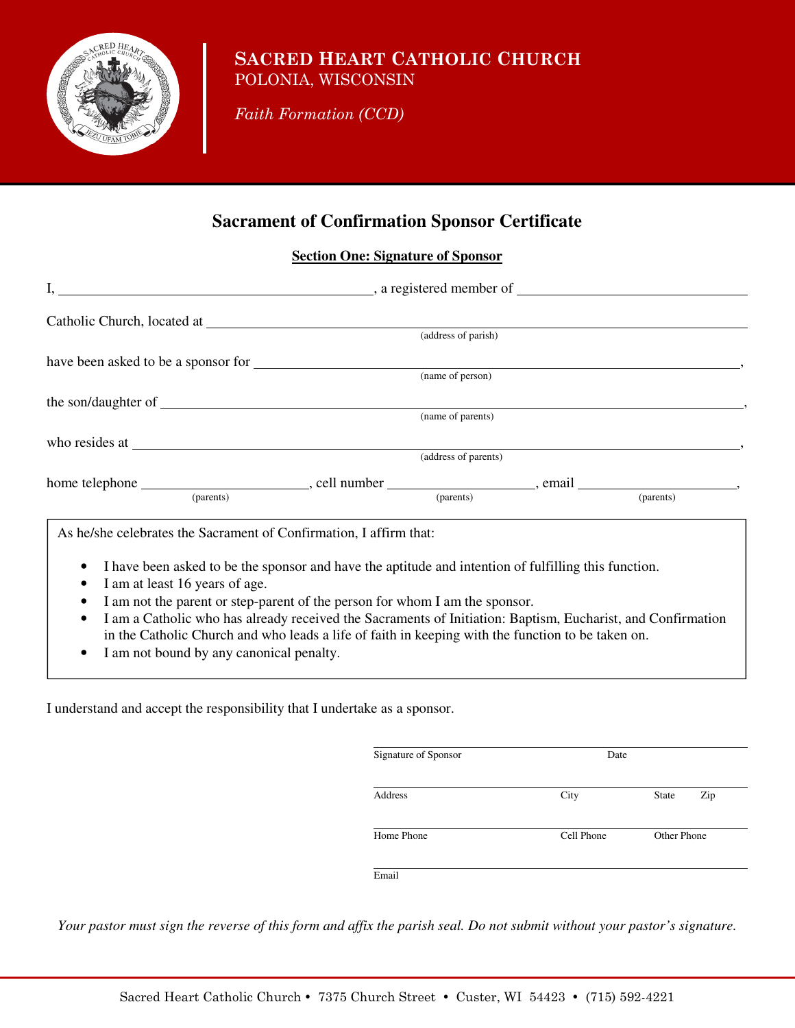

## **SACRED HEART CATHOLIC CHURCH** POLONIA, WISCONSIN

*Faith Formation (CCD)* 

# **Sacrament of Confirmation Sponsor Certificate**

### **Section One: Signature of Sponsor**

|                                                                    | (address of parish)                                                                                         |  |
|--------------------------------------------------------------------|-------------------------------------------------------------------------------------------------------------|--|
|                                                                    |                                                                                                             |  |
|                                                                    |                                                                                                             |  |
|                                                                    |                                                                                                             |  |
|                                                                    |                                                                                                             |  |
|                                                                    |                                                                                                             |  |
|                                                                    | (address of parents)                                                                                        |  |
|                                                                    |                                                                                                             |  |
|                                                                    |                                                                                                             |  |
| As he/she celebrates the Sacrament of Confirmation, I affirm that: |                                                                                                             |  |
| ٠                                                                  | I have been asked to be the sponsor and have the aptitude and intention of fulfilling this function.        |  |
| I am at least 16 years of age.                                     |                                                                                                             |  |
| ٠                                                                  | I am not the parent or step-parent of the person for whom I am the sponsor.                                 |  |
| $\bullet$                                                          | I am a Catholic who has already received the Sacraments of Initiation: Baptism, Eucharist, and Confirmation |  |
| Lom not hound by ony cononical nonelty                             | in the Catholic Church and who leads a life of faith in keeping with the function to be taken on.           |  |

I am not bound by any canonical penalty.

I understand and accept the responsibility that I undertake as a sponsor.

| Signature of Sponsor |
|----------------------|
| Address              |
| Home Phone           |
| Email                |

*Your pastor must sign the reverse of this form and affix the parish seal. Do not submit without your pastor's signature.*